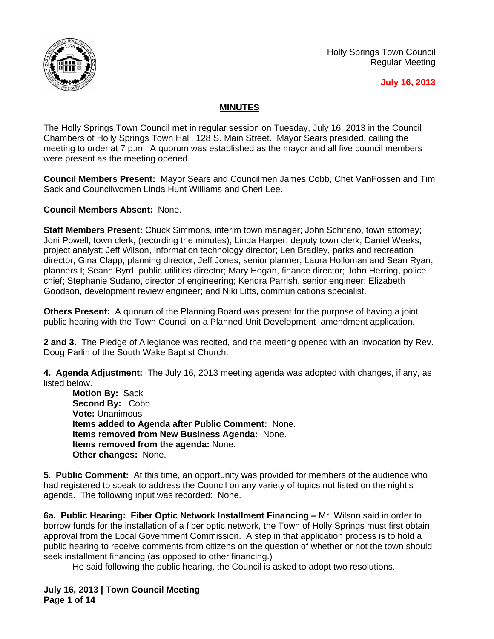

Holly Springs Town Council Regular Meeting

## **July 16, 2013**

## **MINUTES**

The Holly Springs Town Council met in regular session on Tuesday, July 16, 2013 in the Council Chambers of Holly Springs Town Hall, 128 S. Main Street. Mayor Sears presided, calling the meeting to order at 7 p.m. A quorum was established as the mayor and all five council members were present as the meeting opened.

**Council Members Present:** Mayor Sears and Councilmen James Cobb, Chet VanFossen and Tim Sack and Councilwomen Linda Hunt Williams and Cheri Lee.

**Council Members Absent:** None.

**Staff Members Present:** Chuck Simmons, interim town manager; John Schifano, town attorney; Joni Powell, town clerk, (recording the minutes); Linda Harper, deputy town clerk; Daniel Weeks, project analyst; Jeff Wilson, information technology director; Len Bradley, parks and recreation director; Gina Clapp, planning director; Jeff Jones, senior planner; Laura Holloman and Sean Ryan, planners I; Seann Byrd, public utilities director; Mary Hogan, finance director; John Herring, police chief; Stephanie Sudano, director of engineering; Kendra Parrish, senior engineer; Elizabeth Goodson, development review engineer; and Niki Litts, communications specialist.

**Others Present:** A quorum of the Planning Board was present for the purpose of having a joint public hearing with the Town Council on a Planned Unit Development amendment application.

**2 and 3.** The Pledge of Allegiance was recited, and the meeting opened with an invocation by Rev. Doug Parlin of the South Wake Baptist Church.

**4. Agenda Adjustment:** The July 16, 2013 meeting agenda was adopted with changes, if any, as listed below.

**Motion By:** Sack **Second By:** Cobb **Vote:** Unanimous **Items added to Agenda after Public Comment:** None. **Items removed from New Business Agenda:** None. **Items removed from the agenda:** None. **Other changes:** None.

**5. Public Comment:** At this time, an opportunity was provided for members of the audience who had registered to speak to address the Council on any variety of topics not listed on the night's agenda. The following input was recorded: None.

**6a. Public Hearing: Fiber Optic Network Installment Financing –** Mr. Wilson said in order to borrow funds for the installation of a fiber optic network, the Town of Holly Springs must first obtain approval from the Local Government Commission. A step in that application process is to hold a public hearing to receive comments from citizens on the question of whether or not the town should seek installment financing (as opposed to other financing.)

He said following the public hearing, the Council is asked to adopt two resolutions.

**July 16, 2013 | Town Council Meeting Page 1 of 14**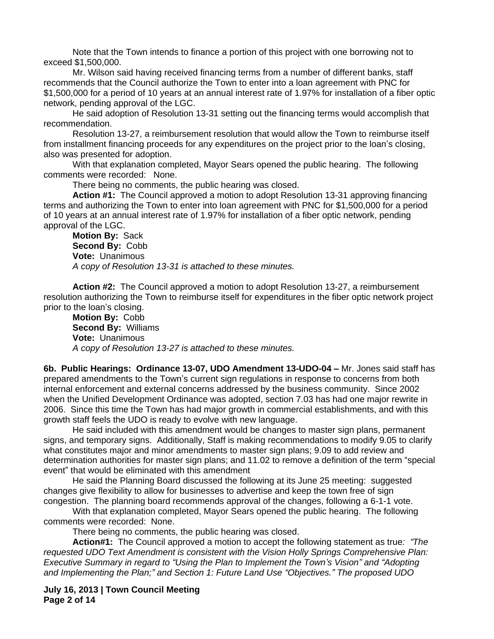Note that the Town intends to finance a portion of this project with one borrowing not to exceed \$1,500,000.

Mr. Wilson said having received financing terms from a number of different banks, staff recommends that the Council authorize the Town to enter into a loan agreement with PNC for \$1,500,000 for a period of 10 years at an annual interest rate of 1.97% for installation of a fiber optic network, pending approval of the LGC.

He said adoption of Resolution 13-31 setting out the financing terms would accomplish that recommendation.

Resolution 13-27, a reimbursement resolution that would allow the Town to reimburse itself from installment financing proceeds for any expenditures on the project prior to the loan's closing, also was presented for adoption.

With that explanation completed, Mayor Sears opened the public hearing. The following comments were recorded: None.

There being no comments, the public hearing was closed.

**Action #1:** The Council approved a motion to adopt Resolution 13-31 approving financing terms and authorizing the Town to enter into loan agreement with PNC for \$1,500,000 for a period of 10 years at an annual interest rate of 1.97% for installation of a fiber optic network, pending approval of the LGC.

**Motion By:** Sack **Second By:** Cobb **Vote:** Unanimous *A copy of Resolution 13-31 is attached to these minutes.*

**Action #2:** The Council approved a motion to adopt Resolution 13-27, a reimbursement resolution authorizing the Town to reimburse itself for expenditures in the fiber optic network project prior to the loan's closing.

**Motion By:** Cobb **Second By:** Williams **Vote:** Unanimous *A copy of Resolution 13-27 is attached to these minutes.*

**6b. Public Hearings: Ordinance 13-07, UDO Amendment 13-UDO-04 –** Mr. Jones said staff has prepared amendments to the Town's current sign regulations in response to concerns from both internal enforcement and external concerns addressed by the business community. Since 2002 when the Unified Development Ordinance was adopted, section 7.03 has had one major rewrite in 2006. Since this time the Town has had major growth in commercial establishments, and with this growth staff feels the UDO is ready to evolve with new language.

He said included with this amendment would be changes to master sign plans, permanent signs, and temporary signs. Additionally, Staff is making recommendations to modify 9.05 to clarify what constitutes major and minor amendments to master sign plans; 9.09 to add review and determination authorities for master sign plans; and 11.02 to remove a definition of the term "special event" that would be eliminated with this amendment

He said the Planning Board discussed the following at its June 25 meeting: suggested changes give flexibility to allow for businesses to advertise and keep the town free of sign congestion. The planning board recommends approval of the changes, following a 6-1-1 vote.

With that explanation completed, Mayor Sears opened the public hearing. The following comments were recorded: None.

There being no comments, the public hearing was closed.

**Action#1:** The Council approved a motion to accept the following statement as true*: "The requested UDO Text Amendment is consistent with the Vision Holly Springs Comprehensive Plan: Executive Summary in regard to "Using the Plan to Implement the Town's Vision" and "Adopting and Implementing the Plan;" and Section 1: Future Land Use "Objectives." The proposed UDO* 

**July 16, 2013 | Town Council Meeting Page 2 of 14**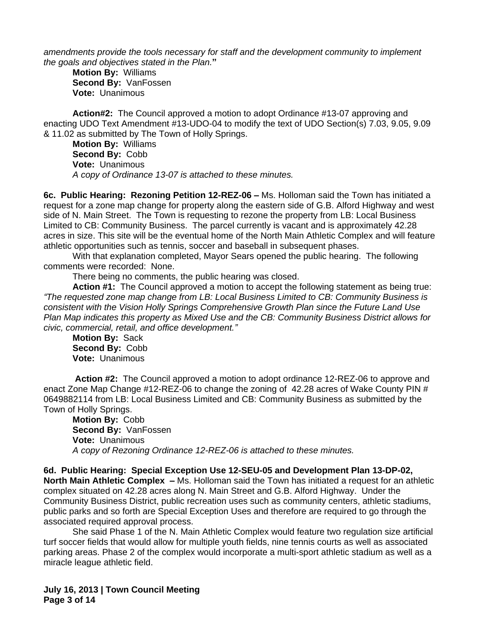*amendments provide the tools necessary for staff and the development community to implement the goals and objectives stated in the Plan.***"**

**Motion By:** Williams **Second By:** VanFossen **Vote:** Unanimous

**Action#2:** The Council approved a motion to adopt Ordinance #13-07 approving and enacting UDO Text Amendment #13-UDO-04 to modify the text of UDO Section(s) 7.03, 9.05, 9.09 & 11.02 as submitted by The Town of Holly Springs.

**Motion By:** Williams **Second By:** Cobb **Vote:** Unanimous *A copy of Ordinance 13-07 is attached to these minutes.*

**6c. Public Hearing: Rezoning Petition 12-REZ-06 –** Ms. Holloman said the Town has initiated a request for a zone map change for property along the eastern side of G.B. Alford Highway and west side of N. Main Street. The Town is requesting to rezone the property from LB: Local Business Limited to CB: Community Business. The parcel currently is vacant and is approximately 42.28 acres in size. This site will be the eventual home of the North Main Athletic Complex and will feature athletic opportunities such as tennis, soccer and baseball in subsequent phases.

With that explanation completed, Mayor Sears opened the public hearing. The following comments were recorded: None.

There being no comments, the public hearing was closed.

**Action #1:** The Council approved a motion to accept the following statement as being true: *"The requested zone map change from LB: Local Business Limited to CB: Community Business is consistent with the Vision Holly Springs Comprehensive Growth Plan since the Future Land Use Plan Map indicates this property as Mixed Use and the CB: Community Business District allows for civic, commercial, retail, and office development."*

**Motion By:** Sack **Second By:** Cobb **Vote:** Unanimous

**Action #2:** The Council approved a motion to adopt ordinance 12-REZ-06 to approve and enact Zone Map Change #12-REZ-06 to change the zoning of 42.28 acres of Wake County PIN # 0649882114 from LB: Local Business Limited and CB: Community Business as submitted by the Town of Holly Springs.

**Motion By:** Cobb **Second By:** VanFossen **Vote:** Unanimous *A copy of Rezoning Ordinance 12-REZ-06 is attached to these minutes.*

**6d. Public Hearing: Special Exception Use 12-SEU-05 and Development Plan 13-DP-02, North Main Athletic Complex –** Ms. Holloman said the Town has initiated a request for an athletic complex situated on 42.28 acres along N. Main Street and G.B. Alford Highway. Under the Community Business District, public recreation uses such as community centers, athletic stadiums, public parks and so forth are Special Exception Uses and therefore are required to go through the associated required approval process.

She said Phase 1 of the N. Main Athletic Complex would feature two regulation size artificial turf soccer fields that would allow for multiple youth fields, nine tennis courts as well as associated parking areas. Phase 2 of the complex would incorporate a multi-sport athletic stadium as well as a miracle league athletic field.

**July 16, 2013 | Town Council Meeting Page 3 of 14**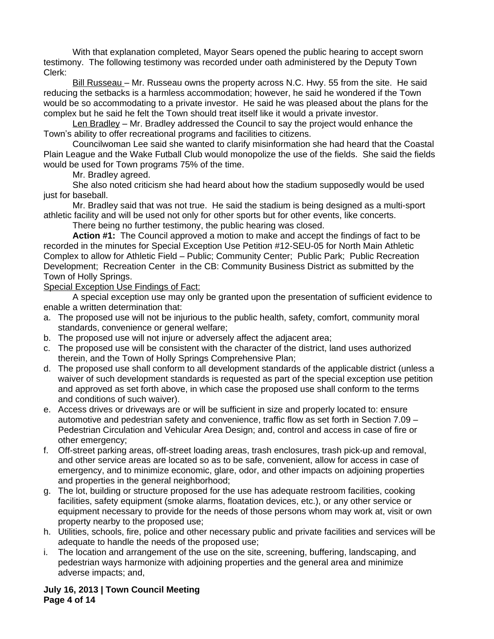With that explanation completed, Mayor Sears opened the public hearing to accept sworn testimony. The following testimony was recorded under oath administered by the Deputy Town Clerk:

Bill Russeau – Mr. Russeau owns the property across N.C. Hwy. 55 from the site. He said reducing the setbacks is a harmless accommodation; however, he said he wondered if the Town would be so accommodating to a private investor. He said he was pleased about the plans for the complex but he said he felt the Town should treat itself like it would a private investor.

Len Bradley – Mr. Bradley addressed the Council to say the project would enhance the Town's ability to offer recreational programs and facilities to citizens.

Councilwoman Lee said she wanted to clarify misinformation she had heard that the Coastal Plain League and the Wake Futball Club would monopolize the use of the fields. She said the fields would be used for Town programs 75% of the time.

Mr. Bradley agreed.

She also noted criticism she had heard about how the stadium supposedly would be used just for baseball.

Mr. Bradley said that was not true. He said the stadium is being designed as a multi-sport athletic facility and will be used not only for other sports but for other events, like concerts.

There being no further testimony, the public hearing was closed.

**Action #1:** The Council approved a motion to make and accept the findings of fact to be recorded in the minutes for Special Exception Use Petition #12-SEU-05 for North Main Athletic Complex to allow for Athletic Field – Public; Community Center; Public Park; Public Recreation Development; Recreation Center in the CB: Community Business District as submitted by the Town of Holly Springs.

Special Exception Use Findings of Fact:

A special exception use may only be granted upon the presentation of sufficient evidence to enable a written determination that:

- a. The proposed use will not be injurious to the public health, safety, comfort, community moral standards, convenience or general welfare;
- b. The proposed use will not injure or adversely affect the adjacent area;
- c. The proposed use will be consistent with the character of the district, land uses authorized therein, and the Town of Holly Springs Comprehensive Plan;
- d. The proposed use shall conform to all development standards of the applicable district (unless a waiver of such development standards is requested as part of the special exception use petition and approved as set forth above, in which case the proposed use shall conform to the terms and conditions of such waiver).
- e. Access drives or driveways are or will be sufficient in size and properly located to: ensure automotive and pedestrian safety and convenience, traffic flow as set forth in Section 7.09 – Pedestrian Circulation and Vehicular Area Design; and, control and access in case of fire or other emergency;
- f. Off-street parking areas, off-street loading areas, trash enclosures, trash pick-up and removal, and other service areas are located so as to be safe, convenient, allow for access in case of emergency, and to minimize economic, glare, odor, and other impacts on adjoining properties and properties in the general neighborhood;
- g. The lot, building or structure proposed for the use has adequate restroom facilities, cooking facilities, safety equipment (smoke alarms, floatation devices, etc.), or any other service or equipment necessary to provide for the needs of those persons whom may work at, visit or own property nearby to the proposed use;
- h. Utilities, schools, fire, police and other necessary public and private facilities and services will be adequate to handle the needs of the proposed use;
- i. The location and arrangement of the use on the site, screening, buffering, landscaping, and pedestrian ways harmonize with adjoining properties and the general area and minimize adverse impacts; and,

**July 16, 2013 | Town Council Meeting Page 4 of 14**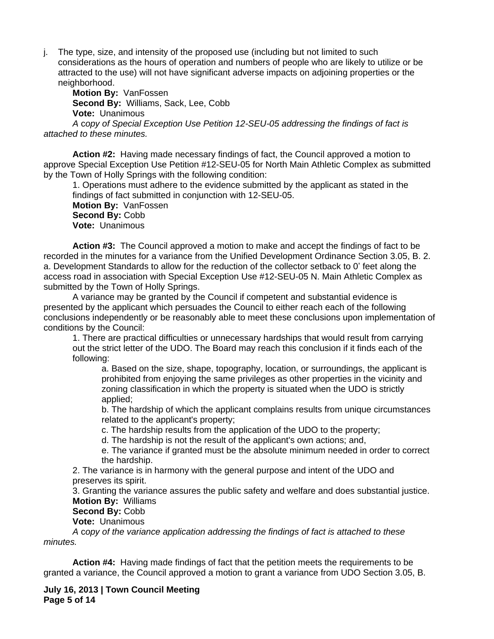j. The type, size, and intensity of the proposed use (including but not limited to such considerations as the hours of operation and numbers of people who are likely to utilize or be attracted to the use) will not have significant adverse impacts on adjoining properties or the neighborhood.

**Motion By:** VanFossen **Second By:** Williams, Sack, Lee, Cobb **Vote:** Unanimous

*A* c*opy of Special Exception Use Petition 12-SEU-05 addressing the findings of fact is attached to these minutes.*

**Action #2:** Having made necessary findings of fact, the Council approved a motion to approve Special Exception Use Petition #12-SEU-05 for North Main Athletic Complex as submitted by the Town of Holly Springs with the following condition:

1. Operations must adhere to the evidence submitted by the applicant as stated in the findings of fact submitted in conjunction with 12-SEU-05.

**Motion By:** VanFossen **Second By:** Cobb **Vote:** Unanimous

**Action #3:** The Council approved a motion to make and accept the findings of fact to be recorded in the minutes for a variance from the Unified Development Ordinance Section 3.05, B. 2. a. Development Standards to allow for the reduction of the collector setback to 0' feet along the access road in association with Special Exception Use #12-SEU-05 N. Main Athletic Complex as submitted by the Town of Holly Springs.

A variance may be granted by the Council if competent and substantial evidence is presented by the applicant which persuades the Council to either reach each of the following conclusions independently or be reasonably able to meet these conclusions upon implementation of conditions by the Council:

1. There are practical difficulties or unnecessary hardships that would result from carrying out the strict letter of the UDO. The Board may reach this conclusion if it finds each of the following:

a. Based on the size, shape, topography, location, or surroundings, the applicant is prohibited from enjoying the same privileges as other properties in the vicinity and zoning classification in which the property is situated when the UDO is strictly applied;

b. The hardship of which the applicant complains results from unique circumstances related to the applicant's property;

c. The hardship results from the application of the UDO to the property;

d. The hardship is not the result of the applicant's own actions; and,

e. The variance if granted must be the absolute minimum needed in order to correct the hardship.

2. The variance is in harmony with the general purpose and intent of the UDO and preserves its spirit.

3. Granting the variance assures the public safety and welfare and does substantial justice. **Motion By:** Williams

**Second By:** Cobb

**Vote:** Unanimous

*A* c*opy of the variance application addressing the findings of fact is attached to these minutes.*

**Action #4:** Having made findings of fact that the petition meets the requirements to be granted a variance, the Council approved a motion to grant a variance from UDO Section 3.05, B.

**July 16, 2013 | Town Council Meeting Page 5 of 14**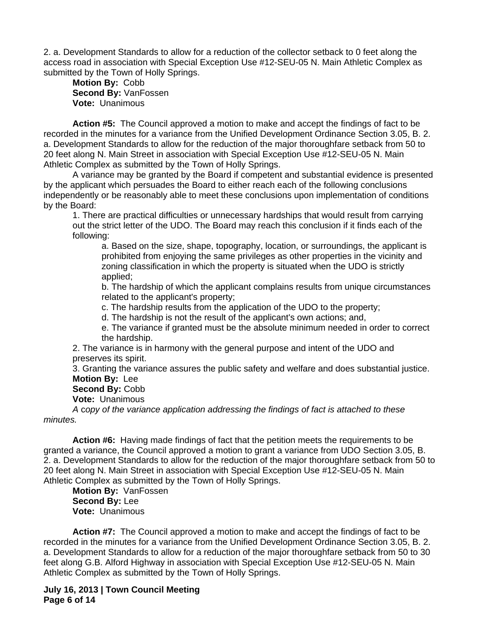2. a. Development Standards to allow for a reduction of the collector setback to 0 feet along the access road in association with Special Exception Use #12-SEU-05 N. Main Athletic Complex as submitted by the Town of Holly Springs.

**Motion By:** Cobb **Second By:** VanFossen **Vote:** Unanimous

**Action #5:** The Council approved a motion to make and accept the findings of fact to be recorded in the minutes for a variance from the Unified Development Ordinance Section 3.05, B. 2. a. Development Standards to allow for the reduction of the major thoroughfare setback from 50 to 20 feet along N. Main Street in association with Special Exception Use #12-SEU-05 N. Main Athletic Complex as submitted by the Town of Holly Springs.

A variance may be granted by the Board if competent and substantial evidence is presented by the applicant which persuades the Board to either reach each of the following conclusions independently or be reasonably able to meet these conclusions upon implementation of conditions by the Board:

1. There are practical difficulties or unnecessary hardships that would result from carrying out the strict letter of the UDO. The Board may reach this conclusion if it finds each of the following:

a. Based on the size, shape, topography, location, or surroundings, the applicant is prohibited from enjoying the same privileges as other properties in the vicinity and zoning classification in which the property is situated when the UDO is strictly applied;

b. The hardship of which the applicant complains results from unique circumstances related to the applicant's property;

c. The hardship results from the application of the UDO to the property;

d. The hardship is not the result of the applicant's own actions; and,

e. The variance if granted must be the absolute minimum needed in order to correct the hardship.

2. The variance is in harmony with the general purpose and intent of the UDO and preserves its spirit.

3. Granting the variance assures the public safety and welfare and does substantial justice. **Motion By:** Lee

## **Second By:** Cobb

**Vote:** Unanimous

*A* c*opy of the variance application addressing the findings of fact is attached to these minutes.*

**Action #6:** Having made findings of fact that the petition meets the requirements to be granted a variance, the Council approved a motion to grant a variance from UDO Section 3.05, B. 2. a. Development Standards to allow for the reduction of the major thoroughfare setback from 50 to 20 feet along N. Main Street in association with Special Exception Use #12-SEU-05 N. Main Athletic Complex as submitted by the Town of Holly Springs.

**Motion By:** VanFossen **Second By:** Lee **Vote:** Unanimous

**Action #7:** The Council approved a motion to make and accept the findings of fact to be recorded in the minutes for a variance from the Unified Development Ordinance Section 3.05, B. 2. a. Development Standards to allow for a reduction of the major thoroughfare setback from 50 to 30 feet along G.B. Alford Highway in association with Special Exception Use #12-SEU-05 N. Main Athletic Complex as submitted by the Town of Holly Springs.

**July 16, 2013 | Town Council Meeting Page 6 of 14**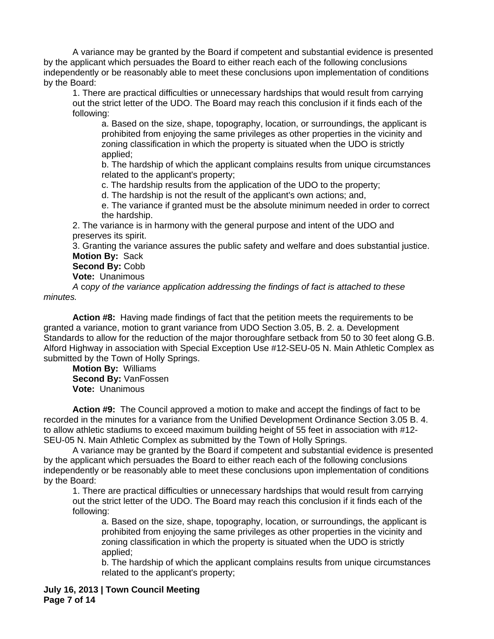A variance may be granted by the Board if competent and substantial evidence is presented by the applicant which persuades the Board to either reach each of the following conclusions independently or be reasonably able to meet these conclusions upon implementation of conditions by the Board:

1. There are practical difficulties or unnecessary hardships that would result from carrying out the strict letter of the UDO. The Board may reach this conclusion if it finds each of the following:

a. Based on the size, shape, topography, location, or surroundings, the applicant is prohibited from enjoying the same privileges as other properties in the vicinity and zoning classification in which the property is situated when the UDO is strictly applied;

b. The hardship of which the applicant complains results from unique circumstances related to the applicant's property;

c. The hardship results from the application of the UDO to the property;

d. The hardship is not the result of the applicant's own actions; and,

e. The variance if granted must be the absolute minimum needed in order to correct the hardship.

2. The variance is in harmony with the general purpose and intent of the UDO and preserves its spirit.

3. Granting the variance assures the public safety and welfare and does substantial justice. **Motion By:** Sack

**Second By:** Cobb

**Vote:** Unanimous

*A* c*opy of the variance application addressing the findings of fact is attached to these minutes.*

**Action #8:** Having made findings of fact that the petition meets the requirements to be granted a variance, motion to grant variance from UDO Section 3.05, B. 2. a. Development Standards to allow for the reduction of the major thoroughfare setback from 50 to 30 feet along G.B. Alford Highway in association with Special Exception Use #12-SEU-05 N. Main Athletic Complex as submitted by the Town of Holly Springs.

**Motion By:** Williams **Second By:** VanFossen **Vote:** Unanimous

**Action #9:** The Council approved a motion to make and accept the findings of fact to be recorded in the minutes for a variance from the Unified Development Ordinance Section 3.05 B. 4. to allow athletic stadiums to exceed maximum building height of 55 feet in association with #12- SEU-05 N. Main Athletic Complex as submitted by the Town of Holly Springs.

A variance may be granted by the Board if competent and substantial evidence is presented by the applicant which persuades the Board to either reach each of the following conclusions independently or be reasonably able to meet these conclusions upon implementation of conditions by the Board:

1. There are practical difficulties or unnecessary hardships that would result from carrying out the strict letter of the UDO. The Board may reach this conclusion if it finds each of the following:

a. Based on the size, shape, topography, location, or surroundings, the applicant is prohibited from enjoying the same privileges as other properties in the vicinity and zoning classification in which the property is situated when the UDO is strictly applied;

b. The hardship of which the applicant complains results from unique circumstances related to the applicant's property;

**July 16, 2013 | Town Council Meeting Page 7 of 14**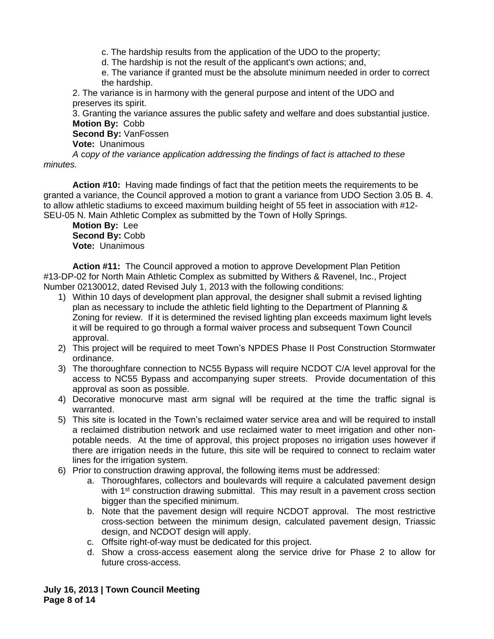c. The hardship results from the application of the UDO to the property;

d. The hardship is not the result of the applicant's own actions; and,

e. The variance if granted must be the absolute minimum needed in order to correct the hardship.

2. The variance is in harmony with the general purpose and intent of the UDO and preserves its spirit.

3. Granting the variance assures the public safety and welfare and does substantial justice. **Motion By:** Cobb

**Second By:** VanFossen

**Vote:** Unanimous

*A* c*opy of the variance application addressing the findings of fact is attached to these minutes.*

**Action #10:** Having made findings of fact that the petition meets the requirements to be granted a variance, the Council approved a motion to grant a variance from UDO Section 3.05 B. 4. to allow athletic stadiums to exceed maximum building height of 55 feet in association with #12- SEU-05 N. Main Athletic Complex as submitted by the Town of Holly Springs.

**Motion By:** Lee **Second By:** Cobb **Vote:** Unanimous

**Action #11:** The Council approved a motion to approve Development Plan Petition #13-DP-02 for North Main Athletic Complex as submitted by Withers & Ravenel, Inc., Project Number 02130012, dated Revised July 1, 2013 with the following conditions:

- 1) Within 10 days of development plan approval, the designer shall submit a revised lighting plan as necessary to include the athletic field lighting to the Department of Planning & Zoning for review. If it is determined the revised lighting plan exceeds maximum light levels it will be required to go through a formal waiver process and subsequent Town Council approval.
- 2) This project will be required to meet Town's NPDES Phase II Post Construction Stormwater ordinance.
- 3) The thoroughfare connection to NC55 Bypass will require NCDOT C/A level approval for the access to NC55 Bypass and accompanying super streets. Provide documentation of this approval as soon as possible.
- 4) Decorative monocurve mast arm signal will be required at the time the traffic signal is warranted.
- 5) This site is located in the Town's reclaimed water service area and will be required to install a reclaimed distribution network and use reclaimed water to meet irrigation and other nonpotable needs. At the time of approval, this project proposes no irrigation uses however if there are irrigation needs in the future, this site will be required to connect to reclaim water lines for the irrigation system.
- 6) Prior to construction drawing approval, the following items must be addressed:
	- a. Thoroughfares, collectors and boulevards will require a calculated pavement design with 1<sup>st</sup> construction drawing submittal. This may result in a pavement cross section bigger than the specified minimum.
	- b. Note that the pavement design will require NCDOT approval. The most restrictive cross-section between the minimum design, calculated pavement design, Triassic design, and NCDOT design will apply.
	- c. Offsite right-of-way must be dedicated for this project.
	- d. Show a cross-access easement along the service drive for Phase 2 to allow for future cross-access.

**July 16, 2013 | Town Council Meeting Page 8 of 14**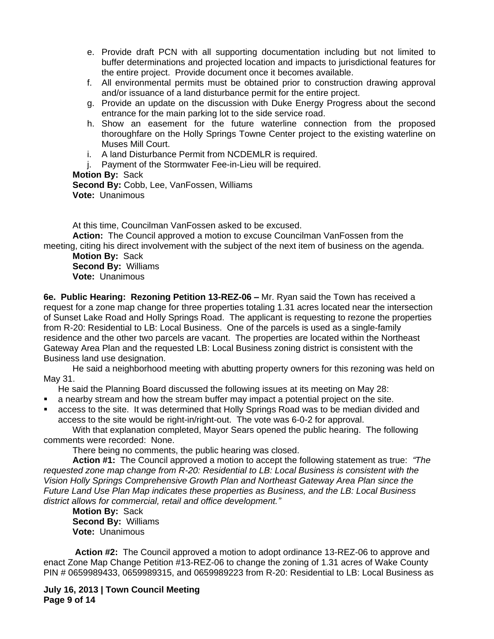- e. Provide draft PCN with all supporting documentation including but not limited to buffer determinations and projected location and impacts to jurisdictional features for the entire project. Provide document once it becomes available.
- f. All environmental permits must be obtained prior to construction drawing approval and/or issuance of a land disturbance permit for the entire project.
- g. Provide an update on the discussion with Duke Energy Progress about the second entrance for the main parking lot to the side service road.
- h. Show an easement for the future waterline connection from the proposed thoroughfare on the Holly Springs Towne Center project to the existing waterline on Muses Mill Court.
- i. A land Disturbance Permit from NCDEMLR is required.
- j. Payment of the Stormwater Fee-in-Lieu will be required.

**Motion By:** Sack **Second By:** Cobb, Lee, VanFossen, Williams **Vote:** Unanimous

At this time, Councilman VanFossen asked to be excused.

**Action:** The Council approved a motion to excuse Councilman VanFossen from the

meeting, citing his direct involvement with the subject of the next item of business on the agenda.

**Motion By:** Sack **Second By:** Williams **Vote:** Unanimous

**6e. Public Hearing: Rezoning Petition 13-REZ-06 –** Mr. Ryan said the Town has received a request for a zone map change for three properties totaling 1.31 acres located near the intersection of Sunset Lake Road and Holly Springs Road. The applicant is requesting to rezone the properties from R-20: Residential to LB: Local Business. One of the parcels is used as a single-family residence and the other two parcels are vacant. The properties are located within the Northeast Gateway Area Plan and the requested LB: Local Business zoning district is consistent with the Business land use designation.

He said a neighborhood meeting with abutting property owners for this rezoning was held on May 31.

He said the Planning Board discussed the following issues at its meeting on May 28:

- a nearby stream and how the stream buffer may impact a potential project on the site.
- access to the site. It was determined that Holly Springs Road was to be median divided and access to the site would be right-in/right-out. The vote was 6-0-2 for approval.

With that explanation completed, Mayor Sears opened the public hearing. The following comments were recorded: None.

There being no comments, the public hearing was closed.

**Action #1:** The Council approved a motion to accept the following statement as true: *"The requested zone map change from R-20: Residential to LB: Local Business is consistent with the Vision Holly Springs Comprehensive Growth Plan and Northeast Gateway Area Plan since the Future Land Use Plan Map indicates these properties as Business, and the LB: Local Business district allows for commercial, retail and office development."*

**Motion By:** Sack **Second By:** Williams **Vote:** Unanimous

**Action #2:** The Council approved a motion to adopt ordinance 13-REZ-06 to approve and enact Zone Map Change Petition #13-REZ-06 to change the zoning of 1.31 acres of Wake County PIN # 0659989433, 0659989315, and 0659989223 from R-20: Residential to LB: Local Business as

**July 16, 2013 | Town Council Meeting Page 9 of 14**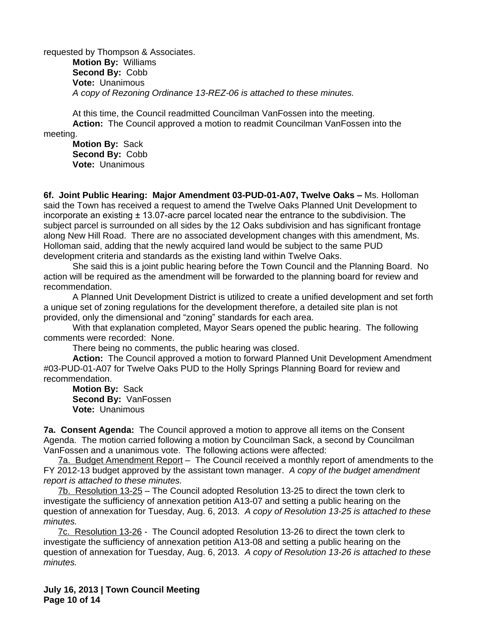requested by Thompson & Associates.

**Motion By:** Williams **Second By:** Cobb **Vote:** Unanimous *A copy of Rezoning Ordinance 13-REZ-06 is attached to these minutes.*

At this time, the Council readmitted Councilman VanFossen into the meeting. **Action:** The Council approved a motion to readmit Councilman VanFossen into the meeting.

**Motion By:** Sack **Second By:** Cobb **Vote:** Unanimous

**6f. Joint Public Hearing: Major Amendment 03-PUD-01-A07, Twelve Oaks –** Ms. Holloman said the Town has received a request to amend the Twelve Oaks Planned Unit Development to incorporate an existing  $\pm$  13.07-acre parcel located near the entrance to the subdivision. The subject parcel is surrounded on all sides by the 12 Oaks subdivision and has significant frontage along New Hill Road. There are no associated development changes with this amendment, Ms. Holloman said, adding that the newly acquired land would be subject to the same PUD development criteria and standards as the existing land within Twelve Oaks.

She said this is a joint public hearing before the Town Council and the Planning Board. No action will be required as the amendment will be forwarded to the planning board for review and recommendation.

A Planned Unit Development District is utilized to create a unified development and set forth a unique set of zoning regulations for the development therefore, a detailed site plan is not provided, only the dimensional and "zoning" standards for each area.

With that explanation completed, Mayor Sears opened the public hearing. The following comments were recorded: None.

There being no comments, the public hearing was closed.

**Action:** The Council approved a motion to forward Planned Unit Development Amendment #03-PUD-01-A07 for Twelve Oaks PUD to the Holly Springs Planning Board for review and recommendation.

**Motion By:** Sack **Second By:** VanFossen **Vote:** Unanimous

**7a. Consent Agenda:** The Council approved a motion to approve all items on the Consent Agenda. The motion carried following a motion by Councilman Sack, a second by Councilman VanFossen and a unanimous vote. The following actions were affected:

7a. Budget Amendment Report – The Council received a monthly report of amendments to the FY 2012-13 budget approved by the assistant town manager. *A copy of the budget amendment report is attached to these minutes.*

7b. Resolution 13-25 – The Council adopted Resolution 13-25 to direct the town clerk to investigate the sufficiency of annexation petition A13-07 and setting a public hearing on the question of annexation for Tuesday, Aug. 6, 2013. *A copy of Resolution 13-25 is attached to these minutes.*

7c. Resolution 13-26 - The Council adopted Resolution 13-26 to direct the town clerk to investigate the sufficiency of annexation petition A13-08 and setting a public hearing on the question of annexation for Tuesday, Aug. 6, 2013. *A copy of Resolution 13-26 is attached to these minutes.*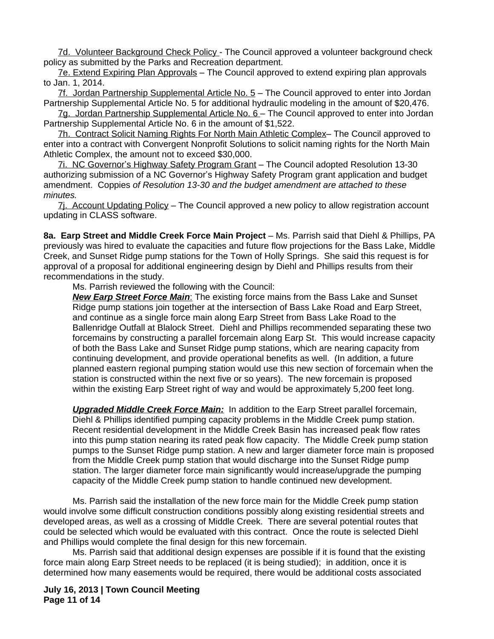7d. Volunteer Background Check Policy - The Council approved a volunteer background check policy as submitted by the Parks and Recreation department.

7e. Extend Expiring Plan Approvals – The Council approved to extend expiring plan approvals to Jan. 1, 2014.

7f. Jordan Partnership Supplemental Article No. 5 - The Council approved to enter into Jordan Partnership Supplemental Article No. 5 for additional hydraulic modeling in the amount of \$20,476.

7g. Jordan Partnership Supplemental Article No. 6 – The Council approved to enter into Jordan Partnership Supplemental Article No. 6 in the amount of \$1,522.

7h. Contract Solicit Naming Rights For North Main Athletic Complex– The Council approved to enter into a contract with Convergent Nonprofit Solutions to solicit naming rights for the North Main Athletic Complex, the amount not to exceed \$30,000.

7i. NC Governor's Highway Safety Program Grant – The Council adopted Resolution 13-30 authorizing submission of a NC Governor's Highway Safety Program grant application and budget amendment. Coppies *of Resolution 13-30 and the budget amendment are attached to these minutes.*

7j. Account Updating Policy – The Council approved a new policy to allow registration account updating in CLASS software.

**8a. Earp Street and Middle Creek Force Main Project** – Ms. Parrish said that Diehl & Phillips, PA previously was hired to evaluate the capacities and future flow projections for the Bass Lake, Middle Creek, and Sunset Ridge pump stations for the Town of Holly Springs. She said this request is for approval of a proposal for additional engineering design by Diehl and Phillips results from their recommendations in the study.

Ms. Parrish reviewed the following with the Council:

*New Earp Street Force Main*: The existing force mains from the Bass Lake and Sunset Ridge pump stations join together at the intersection of Bass Lake Road and Earp Street, and continue as a single force main along Earp Street from Bass Lake Road to the Ballenridge Outfall at Blalock Street. Diehl and Phillips recommended separating these two forcemains by constructing a parallel forcemain along Earp St. This would increase capacity of both the Bass Lake and Sunset Ridge pump stations, which are nearing capacity from continuing development, and provide operational benefits as well. (In addition, a future planned eastern regional pumping station would use this new section of forcemain when the station is constructed within the next five or so years). The new forcemain is proposed within the existing Earp Street right of way and would be approximately 5,200 feet long.

*Upgraded Middle Creek Force Main:* In addition to the Earp Street parallel forcemain, Diehl & Phillips identified pumping capacity problems in the Middle Creek pump station. Recent residential development in the Middle Creek Basin has increased peak flow rates into this pump station nearing its rated peak flow capacity. The Middle Creek pump station pumps to the Sunset Ridge pump station. A new and larger diameter force main is proposed from the Middle Creek pump station that would discharge into the Sunset Ridge pump station. The larger diameter force main significantly would increase/upgrade the pumping capacity of the Middle Creek pump station to handle continued new development.

Ms. Parrish said the installation of the new force main for the Middle Creek pump station would involve some difficult construction conditions possibly along existing residential streets and developed areas, as well as a crossing of Middle Creek. There are several potential routes that could be selected which would be evaluated with this contract. Once the route is selected Diehl and Phillips would complete the final design for this new forcemain.

Ms. Parrish said that additional design expenses are possible if it is found that the existing force main along Earp Street needs to be replaced (it is being studied); in addition, once it is determined how many easements would be required, there would be additional costs associated

**July 16, 2013 | Town Council Meeting Page 11 of 14**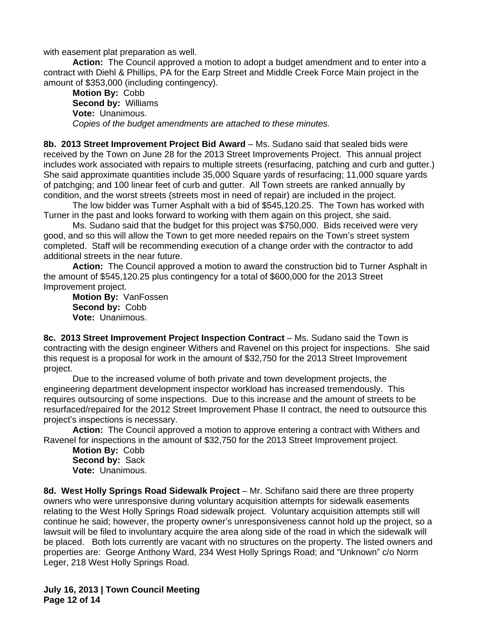with easement plat preparation as well.

**Action:** The Council approved a motion to adopt a budget amendment and to enter into a contract with Diehl & Phillips, PA for the Earp Street and Middle Creek Force Main project in the amount of \$353,000 (including contingency).

**Motion By:** Cobb **Second by:** Williams **Vote:** Unanimous. *Copies of the budget amendments are attached to these minutes.*

**8b. 2013 Street Improvement Project Bid Award** – Ms. Sudano said that sealed bids were received by the Town on June 28 for the 2013 Street Improvements Project. This annual project includes work associated with repairs to multiple streets (resurfacing, patching and curb and gutter.) She said approximate quantities include 35,000 Square yards of resurfacing; 11,000 square yards of patchging; and 100 linear feet of curb and gutter. All Town streets are ranked annually by condition, and the worst streets (streets most in need of repair) are included in the project.

The low bidder was Turner Asphalt with a bid of \$545,120.25. The Town has worked with Turner in the past and looks forward to working with them again on this project, she said.

Ms. Sudano said that the budget for this project was \$750,000. Bids received were very good, and so this will allow the Town to get more needed repairs on the Town's street system completed. Staff will be recommending execution of a change order with the contractor to add additional streets in the near future.

**Action:** The Council approved a motion to award the construction bid to Turner Asphalt in the amount of \$545,120.25 plus contingency for a total of \$600,000 for the 2013 Street Improvement project.

**Motion By:** VanFossen **Second by:** Cobb **Vote:** Unanimous.

**8c. 2013 Street Improvement Project Inspection Contract – Ms. Sudano said the Town is** contracting with the design engineer Withers and Ravenel on this project for inspections. She said this request is a proposal for work in the amount of \$32,750 for the 2013 Street Improvement project.

Due to the increased volume of both private and town development projects, the engineering department development inspector workload has increased tremendously. This requires outsourcing of some inspections. Due to this increase and the amount of streets to be resurfaced/repaired for the 2012 Street Improvement Phase II contract, the need to outsource this project's inspections is necessary.

**Action:** The Council approved a motion to approve entering a contract with Withers and Ravenel for inspections in the amount of \$32,750 for the 2013 Street Improvement project.

**Motion By:** Cobb **Second by:** Sack **Vote:** Unanimous.

**8d. West Holly Springs Road Sidewalk Project** – Mr. Schifano said there are three property owners who were unresponsive during voluntary acquisition attempts for sidewalk easements relating to the West Holly Springs Road sidewalk project. Voluntary acquisition attempts still will continue he said; however, the property owner's unresponsiveness cannot hold up the project, so a lawsuit will be filed to involuntary acquire the area along side of the road in which the sidewalk will be placed. Both lots currently are vacant with no structures on the property. The listed owners and properties are: George Anthony Ward, 234 West Holly Springs Road; and "Unknown" c/o Norm Leger, 218 West Holly Springs Road.

**July 16, 2013 | Town Council Meeting Page 12 of 14**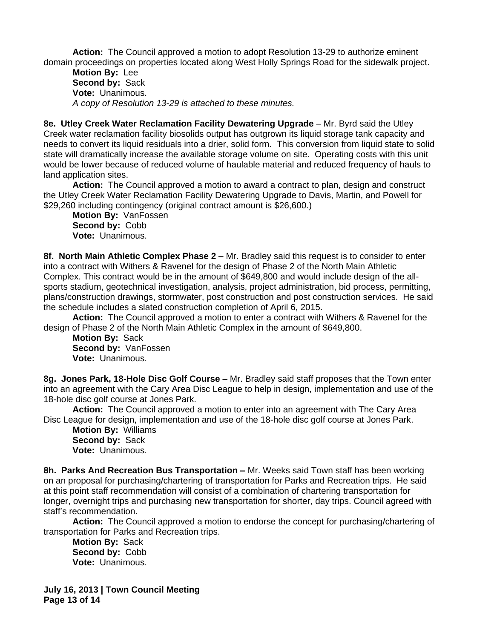**Action:** The Council approved a motion to adopt Resolution 13-29 to authorize eminent domain proceedings on properties located along West Holly Springs Road for the sidewalk project.

**Motion By:** Lee **Second by:** Sack **Vote:** Unanimous. *A copy of Resolution 13-29 is attached to these minutes.*

**8e. Utley Creek Water Reclamation Facility Dewatering Upgrade** – Mr. Byrd said the Utley Creek water reclamation facility biosolids output has outgrown its liquid storage tank capacity and needs to convert its liquid residuals into a drier, solid form. This conversion from liquid state to solid state will dramatically increase the available storage volume on site. Operating costs with this unit would be lower because of reduced volume of haulable material and reduced frequency of hauls to land application sites.

**Action:** The Council approved a motion to award a contract to plan, design and construct the Utley Creek Water Reclamation Facility Dewatering Upgrade to Davis, Martin, and Powell for \$29,260 including contingency (original contract amount is \$26,600.)

**Motion By:** VanFossen **Second by:** Cobb **Vote:** Unanimous.

**8f. North Main Athletic Complex Phase 2 – Mr. Bradley said this request is to consider to enter** into a contract with Withers & Ravenel for the design of Phase 2 of the North Main Athletic Complex. This contract would be in the amount of \$649,800 and would include design of the allsports stadium, geotechnical investigation, analysis, project administration, bid process, permitting, plans/construction drawings, stormwater, post construction and post construction services. He said the schedule includes a slated construction completion of April 6, 2015.

**Action:** The Council approved a motion to enter a contract with Withers & Ravenel for the design of Phase 2 of the North Main Athletic Complex in the amount of \$649,800.

**Motion By:** Sack **Second by:** VanFossen **Vote:** Unanimous.

**8g. Jones Park, 18-Hole Disc Golf Course –** Mr. Bradley said staff proposes that the Town enter into an agreement with the Cary Area Disc League to help in design, implementation and use of the 18-hole disc golf course at Jones Park.

**Action:** The Council approved a motion to enter into an agreement with The Cary Area Disc League for design, implementation and use of the 18-hole disc golf course at Jones Park.

**Motion By:** Williams **Second by:** Sack **Vote:** Unanimous.

**8h. Parks And Recreation Bus Transportation - Mr. Weeks said Town staff has been working** on an proposal for purchasing/chartering of transportation for Parks and Recreation trips. He said at this point staff recommendation will consist of a combination of chartering transportation for longer, overnight trips and purchasing new transportation for shorter, day trips. Council agreed with staff's recommendation.

**Action:** The Council approved a motion to endorse the concept for purchasing/chartering of transportation for Parks and Recreation trips.

**Motion By:** Sack **Second by:** Cobb **Vote:** Unanimous.

**July 16, 2013 | Town Council Meeting Page 13 of 14**